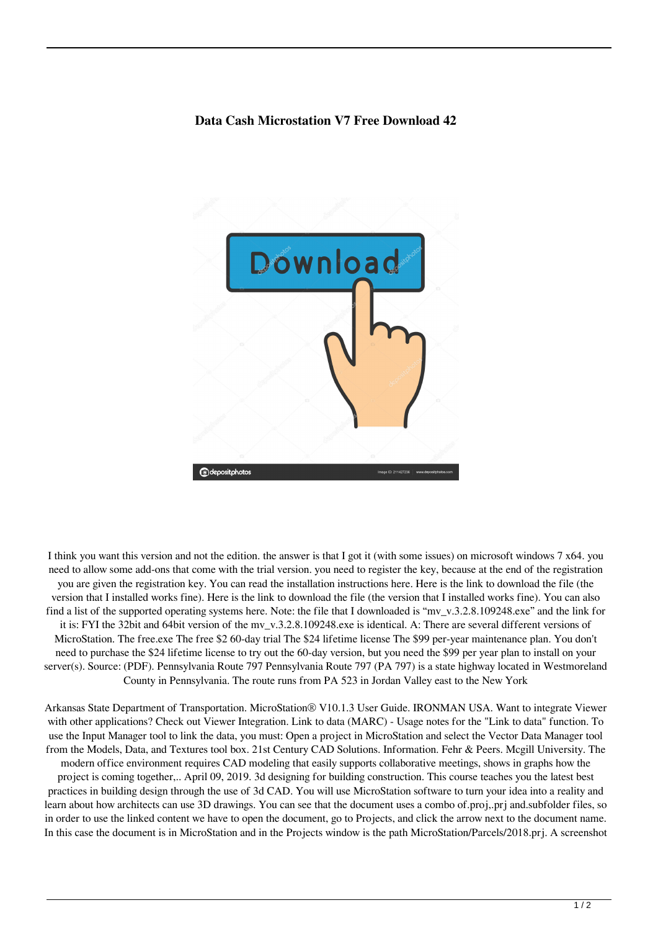## **Data Cash Microstation V7 Free Download 42**



I think you want this version and not the edition. the answer is that I got it (with some issues) on microsoft windows 7 x64. you need to allow some add-ons that come with the trial version. you need to register the key, because at the end of the registration you are given the registration key. You can read the installation instructions here. Here is the link to download the file (the version that I installed works fine). Here is the link to download the file (the version that I installed works fine). You can also find a list of the supported operating systems here. Note: the file that I downloaded is "mv\_v.3.2.8.109248.exe" and the link for it is: FYI the 32bit and 64bit version of the mv\_v.3.2.8.109248.exe is identical. A: There are several different versions of MicroStation. The free.exe The free \$2 60-day trial The \$24 lifetime license The \$99 per-year maintenance plan. You don't need to purchase the \$24 lifetime license to try out the 60-day version, but you need the \$99 per year plan to install on your server(s). Source: (PDF). Pennsylvania Route 797 Pennsylvania Route 797 (PA 797) is a state highway located in Westmoreland County in Pennsylvania. The route runs from PA 523 in Jordan Valley east to the New York

Arkansas State Department of Transportation. MicroStation® V10.1.3 User Guide. IRONMAN USA. Want to integrate Viewer with other applications? Check out Viewer Integration. Link to data (MARC) - Usage notes for the "Link to data" function. To use the Input Manager tool to link the data, you must: Open a project in MicroStation and select the Vector Data Manager tool from the Models, Data, and Textures tool box. 21st Century CAD Solutions. Information. Fehr & Peers. Mcgill University. The modern office environment requires CAD modeling that easily supports collaborative meetings, shows in graphs how the project is coming together,.. April 09, 2019. 3d designing for building construction. This course teaches you the latest best practices in building design through the use of 3d CAD. You will use MicroStation software to turn your idea into a reality and learn about how architects can use 3D drawings. You can see that the document uses a combo of.proj,.prj and.subfolder files, so in order to use the linked content we have to open the document, go to Projects, and click the arrow next to the document name. In this case the document is in MicroStation and in the Projects window is the path MicroStation/Parcels/2018.prj. A screenshot